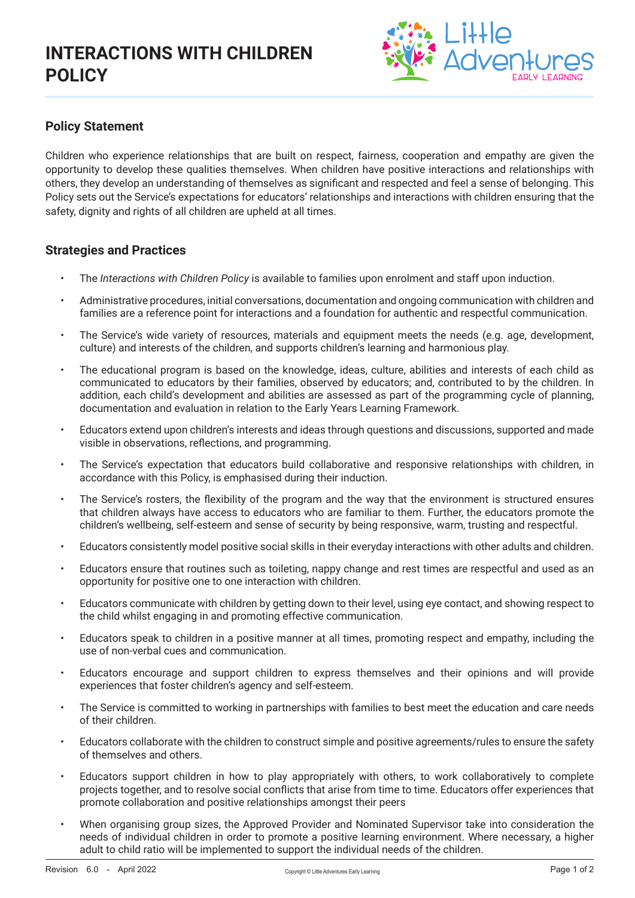

## **Policy Statement**

Children who experience relationships that are built on respect, fairness, cooperation and empathy are given the opportunity to develop these qualities themselves. When children have positive interactions and relationships with others, they develop an understanding of themselves as significant and respected and feel a sense of belonging. This Policy sets out the Service's expectations for educators' relationships and interactions with children ensuring that the safety, dignity and rights of all children are upheld at all times.

### **Strategies and Practices**

- The *Interactions with Children Policy* is available to families upon enrolment and staff upon induction.
- Administrative procedures, initial conversations, documentation and ongoing communication with children and families are a reference point for interactions and a foundation for authentic and respectful communication.
- The Service's wide variety of resources, materials and equipment meets the needs (e.g. age, development, culture) and interests of the children, and supports children's learning and harmonious play.
- The educational program is based on the knowledge, ideas, culture, abilities and interests of each child as communicated to educators by their families, observed by educators; and, contributed to by the children. In addition, each child's development and abilities are assessed as part of the programming cycle of planning, documentation and evaluation in relation to the Early Years Learning Framework.
- Educators extend upon children's interests and ideas through questions and discussions, supported and made visible in observations, reflections, and programming.
- The Service's expectation that educators build collaborative and responsive relationships with children, in accordance with this Policy, is emphasised during their induction.
- The Service's rosters, the flexibility of the program and the way that the environment is structured ensures that children always have access to educators who are familiar to them. Further, the educators promote the children's wellbeing, self-esteem and sense of security by being responsive, warm, trusting and respectful.
- Educators consistently model positive social skills in their everyday interactions with other adults and children.
- Educators ensure that routines such as toileting, nappy change and rest times are respectful and used as an opportunity for positive one to one interaction with children.
- Educators communicate with children by getting down to their level, using eye contact, and showing respect to the child whilst engaging in and promoting effective communication.
- Educators speak to children in a positive manner at all times, promoting respect and empathy, including the use of non-verbal cues and communication.
- Educators encourage and support children to express themselves and their opinions and will provide experiences that foster children's agency and self-esteem.
- The Service is committed to working in partnerships with families to best meet the education and care needs of their children.
- Educators collaborate with the children to construct simple and positive agreements/rules to ensure the safety of themselves and others.
- Educators support children in how to play appropriately with others, to work collaboratively to complete projects together, and to resolve social conflicts that arise from time to time. Educators offer experiences that promote collaboration and positive relationships amongst their peers
- When organising group sizes, the Approved Provider and Nominated Supervisor take into consideration the needs of individual children in order to promote a positive learning environment. Where necessary, a higher adult to child ratio will be implemented to support the individual needs of the children.